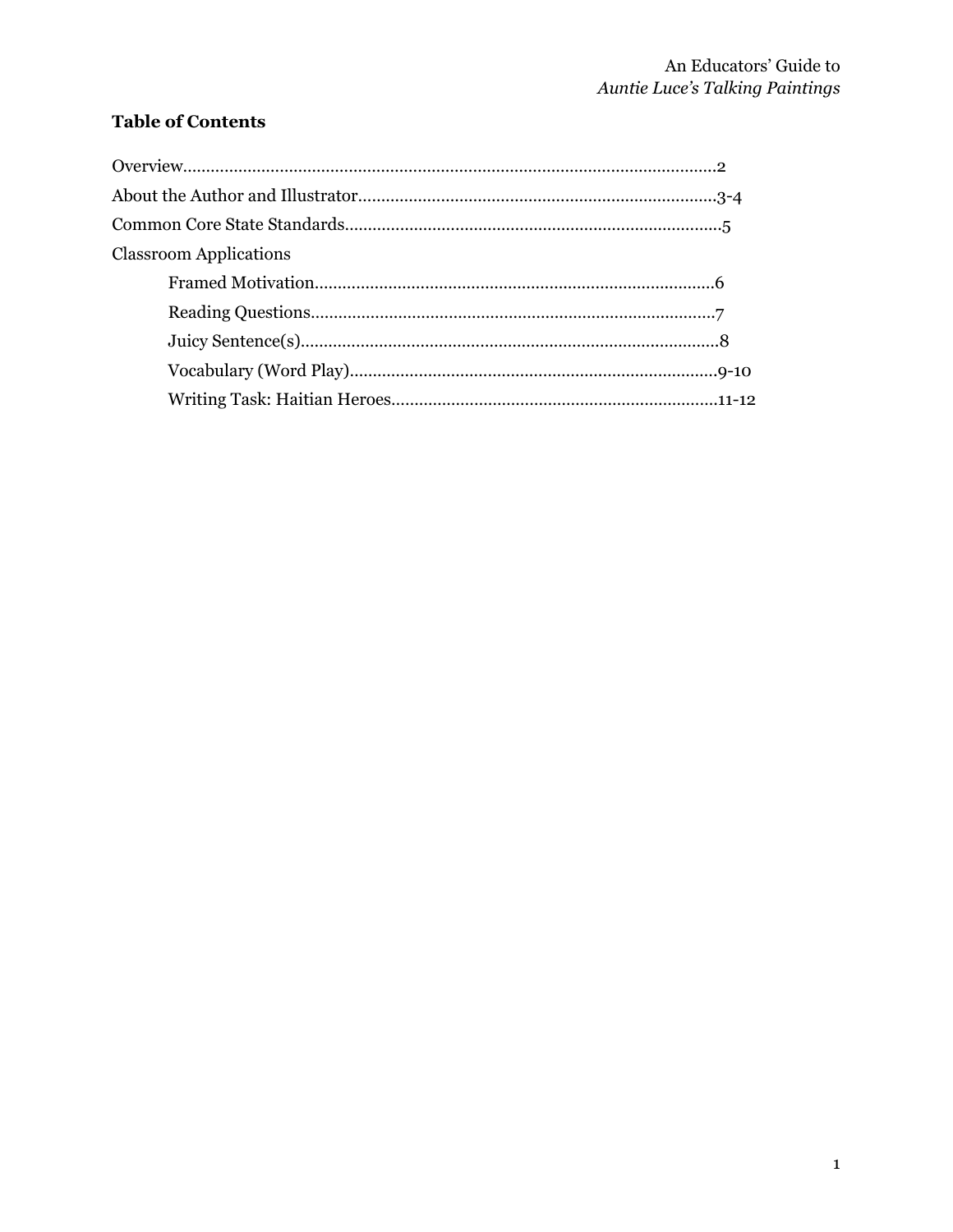# **Table of Contents**

| <b>Classroom</b> Applications |  |
|-------------------------------|--|
|                               |  |
|                               |  |
|                               |  |
|                               |  |
|                               |  |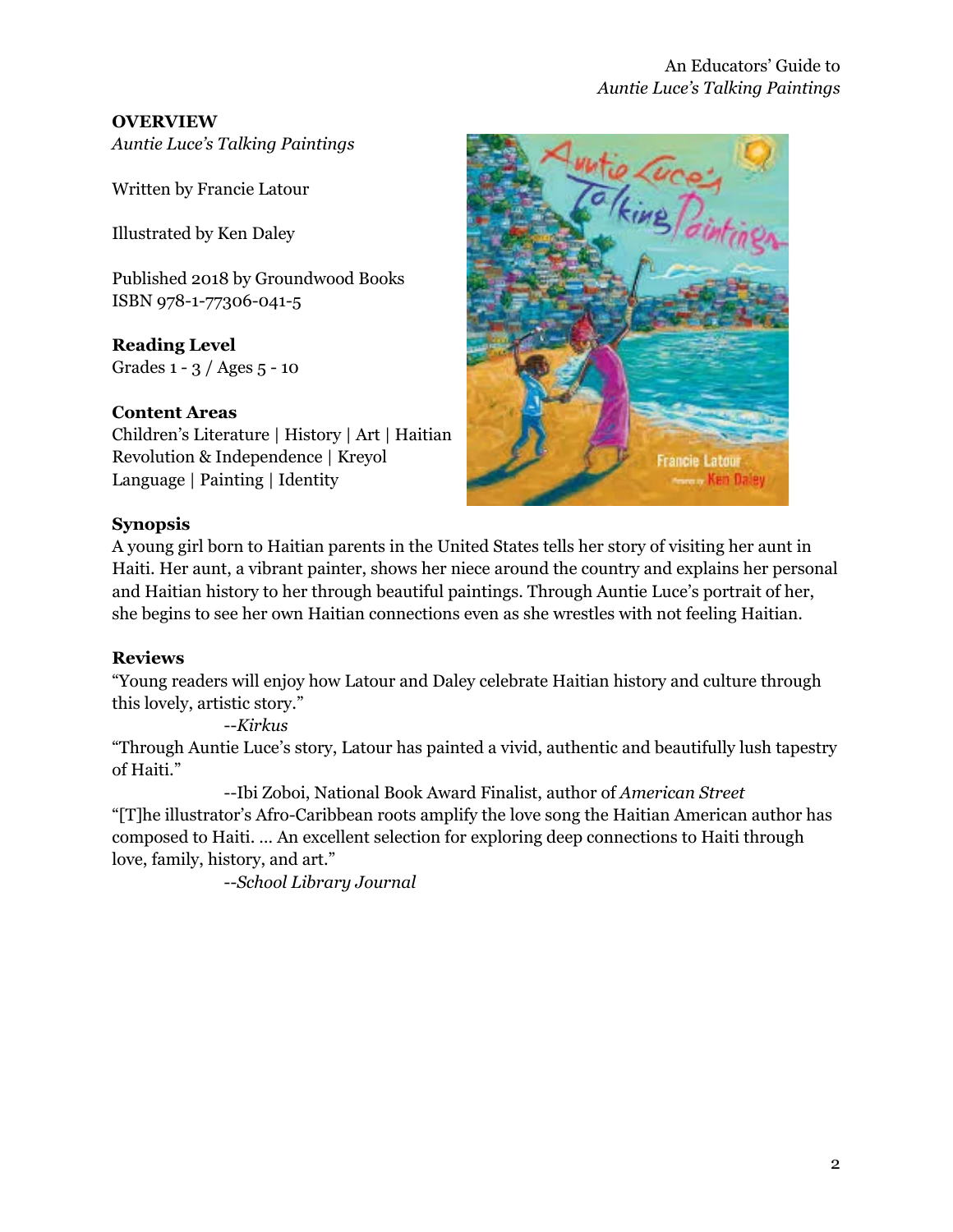# **OVERVIEW**

*Auntie Luce's Talking Paintings*

Written by Francie Latour

Illustrated by Ken Daley

Published 2018 by Groundwood Books ISBN 978-1-77306-041-5

**Reading Level** Grades 1 - 3 / Ages 5 - 10

#### **Content Areas**

Children's Literature | History | Art | Haitian Revolution & Independence | Kreyol Language | Painting | Identity



#### **Synopsis**

A young girl born to Haitian parents in the United States tells her story of visiting her aunt in Haiti. Her aunt, a vibrant painter, shows her niece around the country and explains her personal and Haitian history to her through beautiful paintings. Through Auntie Luce's portrait of her, she begins to see her own Haitian connections even as she wrestles with not feeling Haitian.

### **Reviews**

"Young readers will enjoy how Latour and Daley celebrate Haitian history and culture through this lovely, artistic story."

--*Kirkus*

"Through Auntie Luce's story, Latour has painted a vivid, authentic and beautifully lush tapestry of Haiti."

--Ibi Zoboi, National Book Award Finalist, author of *American Street* "[T]he illustrator's Afro-Caribbean roots amplify the love song the Haitian American author has composed to Haiti. … An excellent selection for exploring deep connections to Haiti through love, family, history, and art."

--*School Library Journal*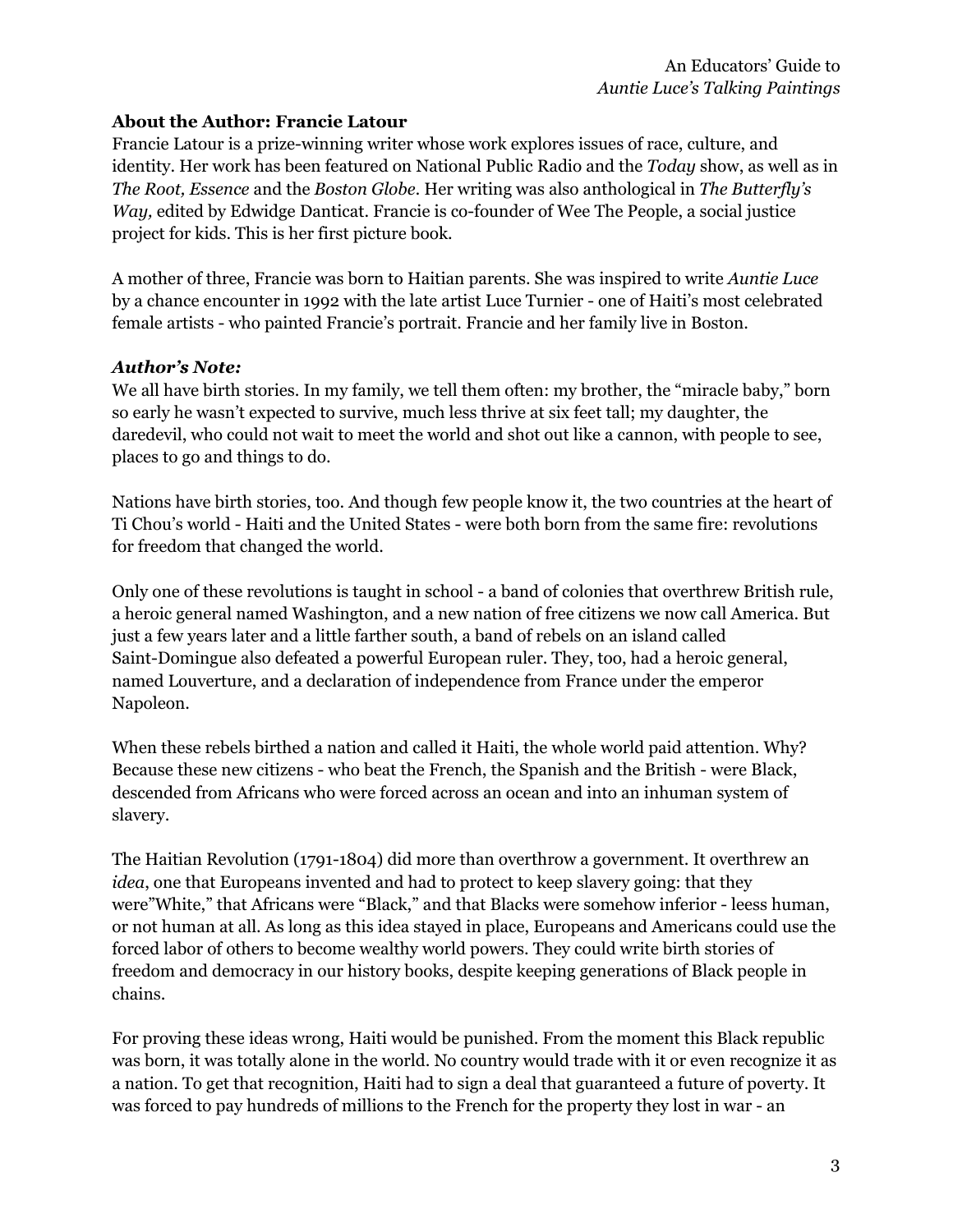#### **About the Author: Francie Latour**

Francie Latour is a prize-winning writer whose work explores issues of race, culture, and identity. Her work has been featured on National Public Radio and the *Today* show, as well as in *The Root, Essence* and the *Boston Globe.* Her writing was also anthological in *The Butterfly's Way,* edited by Edwidge Danticat. Francie is co-founder of Wee The People, a social justice project for kids. This is her first picture book.

A mother of three, Francie was born to Haitian parents. She was inspired to write *Auntie Luce* by a chance encounter in 1992 with the late artist Luce Turnier - one of Haiti's most celebrated female artists - who painted Francie's portrait. Francie and her family live in Boston.

#### *Author's Note:*

We all have birth stories. In my family, we tell them often: my brother, the "miracle baby," born so early he wasn't expected to survive, much less thrive at six feet tall; my daughter, the daredevil, who could not wait to meet the world and shot out like a cannon, with people to see, places to go and things to do.

Nations have birth stories, too. And though few people know it, the two countries at the heart of Ti Chou's world - Haiti and the United States - were both born from the same fire: revolutions for freedom that changed the world.

Only one of these revolutions is taught in school - a band of colonies that overthrew British rule, a heroic general named Washington, and a new nation of free citizens we now call America. But just a few years later and a little farther south, a band of rebels on an island called Saint-Domingue also defeated a powerful European ruler. They, too, had a heroic general, named Louverture, and a declaration of independence from France under the emperor Napoleon.

When these rebels birthed a nation and called it Haiti, the whole world paid attention. Why? Because these new citizens - who beat the French, the Spanish and the British - were Black, descended from Africans who were forced across an ocean and into an inhuman system of slavery.

The Haitian Revolution (1791-1804) did more than overthrow a government. It overthrew an *idea*, one that Europeans invented and had to protect to keep slavery going: that they were"White," that Africans were "Black," and that Blacks were somehow inferior - leess human, or not human at all. As long as this idea stayed in place, Europeans and Americans could use the forced labor of others to become wealthy world powers. They could write birth stories of freedom and democracy in our history books, despite keeping generations of Black people in chains.

For proving these ideas wrong, Haiti would be punished. From the moment this Black republic was born, it was totally alone in the world. No country would trade with it or even recognize it as a nation. To get that recognition, Haiti had to sign a deal that guaranteed a future of poverty. It was forced to pay hundreds of millions to the French for the property they lost in war - an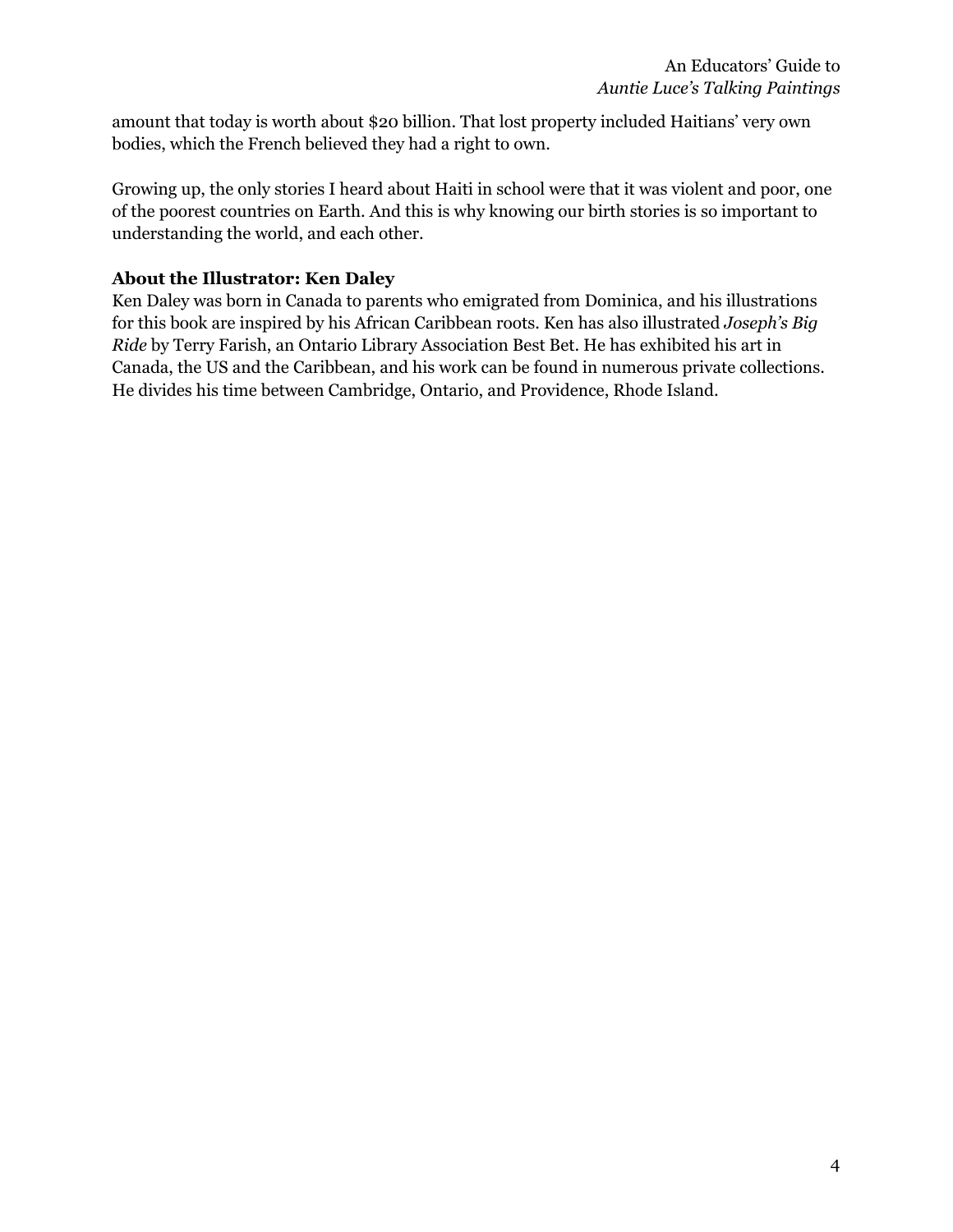amount that today is worth about \$20 billion. That lost property included Haitians' very own bodies, which the French believed they had a right to own.

Growing up, the only stories I heard about Haiti in school were that it was violent and poor, one of the poorest countries on Earth. And this is why knowing our birth stories is so important to understanding the world, and each other.

# **About the Illustrator: Ken Daley**

Ken Daley was born in Canada to parents who emigrated from Dominica, and his illustrations for this book are inspired by his African Caribbean roots. Ken has also illustrated *Joseph's Big Ride* by Terry Farish, an Ontario Library Association Best Bet. He has exhibited his art in Canada, the US and the Caribbean, and his work can be found in numerous private collections. He divides his time between Cambridge, Ontario, and Providence, Rhode Island.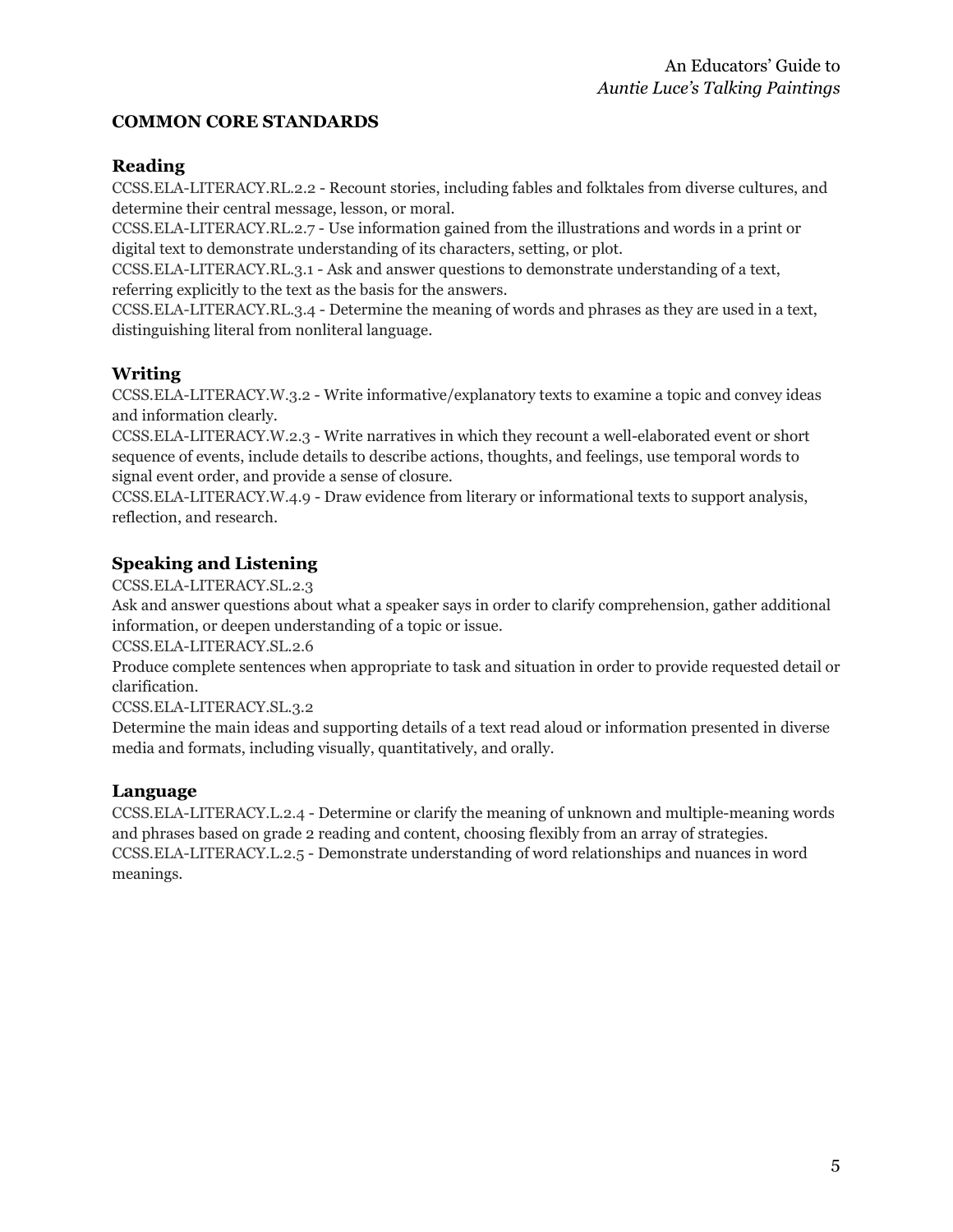### **COMMON CORE STANDARDS**

# **Reading**

[CCSS.ELA-LITERACY.RL.2.2](http://www.corestandards.org/ELA-Literacy/RL/2/2/) - Recount stories, including fables and folktales from diverse cultures, and determine their central message, lesson, or moral.

[CCSS.ELA-LITERACY.RL.2.7](http://www.corestandards.org/ELA-Literacy/RL/2/7/) - Use information gained from the illustrations and words in a print or digital text to demonstrate understanding of its characters, setting, or plot.

[CCSS.ELA-LITERACY.RL.3.1](http://www.corestandards.org/ELA-Literacy/RL/3/1/) - Ask and answer questions to demonstrate understanding of a text, referring explicitly to the text as the basis for the answers.

[CCSS.ELA-LITERACY.RL.3.4](http://www.corestandards.org/ELA-Literacy/RL/3/4/) - Determine the meaning of words and phrases as they are used in a text, distinguishing literal from nonliteral language.

# **Writing**

[CCSS.ELA-LITERACY.W.3.2](http://www.corestandards.org/ELA-Literacy/W/3/2/) - Write informative/explanatory texts to examine a topic and convey ideas and information clearly.

[CCSS.ELA-LITERACY.W.2.3](http://www.corestandards.org/ELA-Literacy/W/2/3/) - Write narratives in which they recount a well-elaborated event or short sequence of events, include details to describe actions, thoughts, and feelings, use temporal words to signal event order, and provide a sense of closure.

[CCSS.ELA-LITERACY.W.4.9](http://www.corestandards.org/ELA-Literacy/W/4/9/) - Draw evidence from literary or informational texts to support analysis, reflection, and research.

# **Speaking and Listening**

[CCSS.ELA-LITERACY.SL.2.3](http://www.corestandards.org/ELA-Literacy/SL/2/3/)

Ask and answer questions about what a speaker says in order to clarify comprehension, gather additional information, or deepen understanding of a topic or issue.

[CCSS.ELA-LITERACY.SL.2.6](http://www.corestandards.org/ELA-Literacy/SL/2/6/)

Produce complete sentences when appropriate to task and situation in order to provide requested detail or clarification.

[CCSS.ELA-LITERACY.SL.3.2](http://www.corestandards.org/ELA-Literacy/SL/3/2/)

Determine the main ideas and supporting details of a text read aloud or information presented in diverse media and formats, including visually, quantitatively, and orally.

### **Language**

[CCSS.ELA-LITERACY.L.2.4](http://www.corestandards.org/ELA-Literacy/L/2/4/) - Determine or clarify the meaning of unknown and multiple-meaning words and phrases based on grade 2 reading and content, choosing flexibly from an array of strategies. [CCSS.ELA-LITERACY.L.2.5](http://www.corestandards.org/ELA-Literacy/L/2/5/) - Demonstrate understanding of word relationships and nuances in word meanings.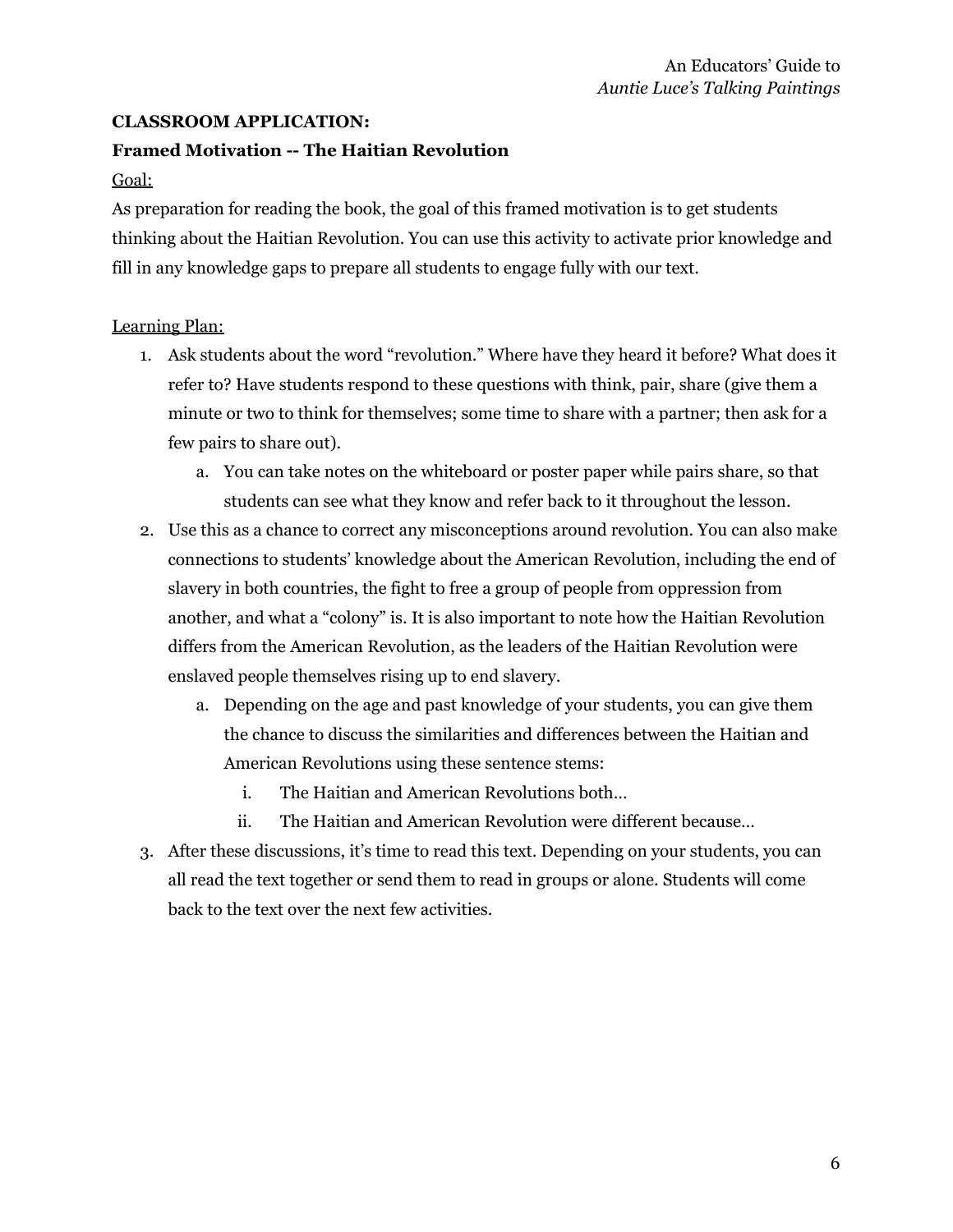### **CLASSROOM APPLICATION:**

#### **Framed Motivation -- The Haitian Revolution**

#### Goal:

As preparation for reading the book, the goal of this framed motivation is to get students thinking about the Haitian Revolution. You can use this activity to activate prior knowledge and fill in any knowledge gaps to prepare all students to engage fully with our text.

#### Learning Plan:

- 1. Ask students about the word "revolution." Where have they heard it before? What does it refer to? Have students respond to these questions with think, pair, share (give them a minute or two to think for themselves; some time to share with a partner; then ask for a few pairs to share out).
	- a. You can take notes on the whiteboard or poster paper while pairs share, so that students can see what they know and refer back to it throughout the lesson.
- 2. Use this as a chance to correct any misconceptions around revolution. You can also make connections to students' knowledge about the American Revolution, including the end of slavery in both countries, the fight to free a group of people from oppression from another, and what a "colony" is. It is also important to note how the Haitian Revolution differs from the American Revolution, as the leaders of the Haitian Revolution were enslaved people themselves rising up to end slavery.
	- a. Depending on the age and past knowledge of your students, you can give them the chance to discuss the similarities and differences between the Haitian and American Revolutions using these sentence stems:
		- i. The Haitian and American Revolutions both…
		- ii. The Haitian and American Revolution were different because…
- 3. After these discussions, it's time to read this text. Depending on your students, you can all read the text together or send them to read in groups or alone. Students will come back to the text over the next few activities.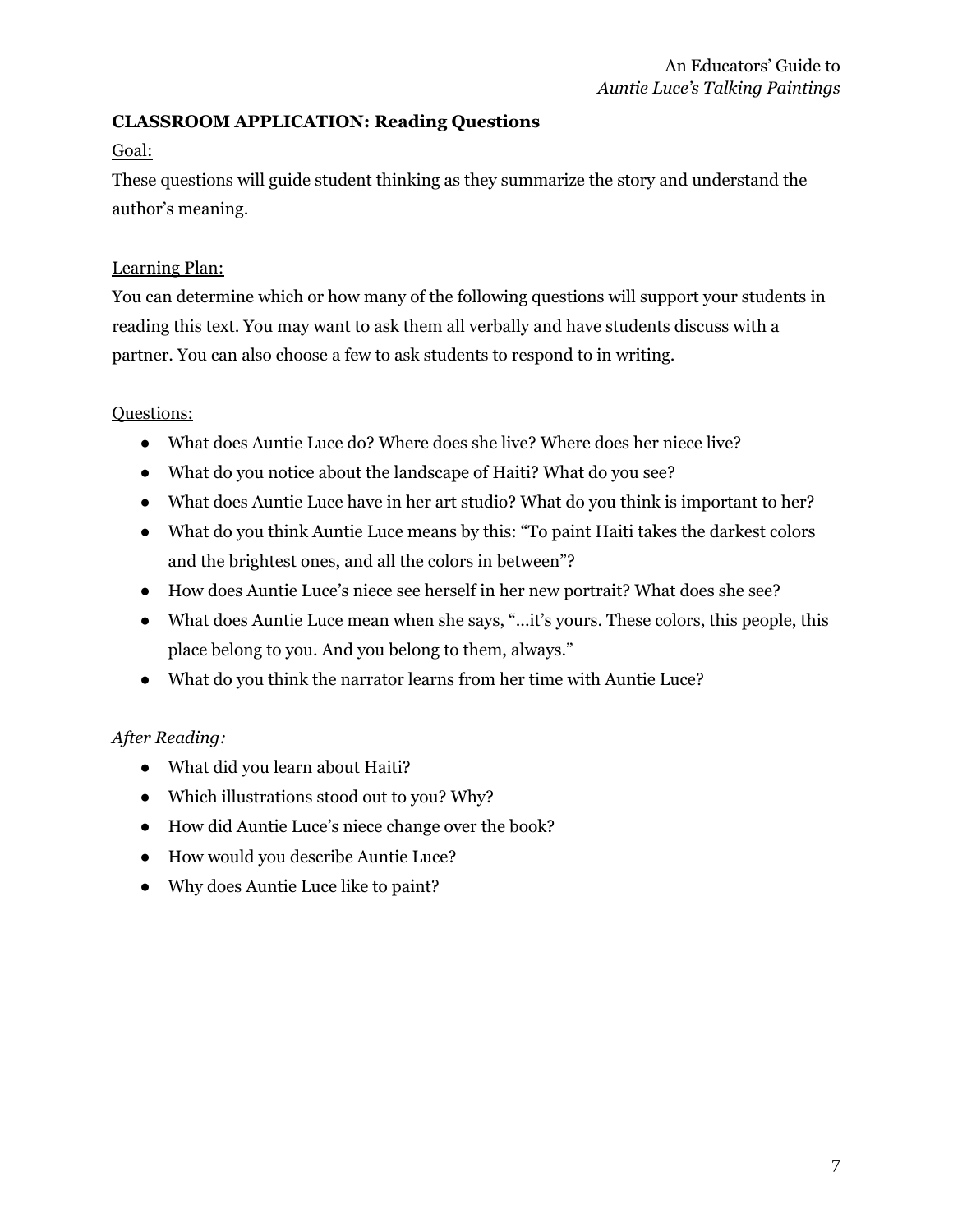# **CLASSROOM APPLICATION: Reading Questions**

# Goal:

These questions will guide student thinking as they summarize the story and understand the author's meaning.

# Learning Plan:

You can determine which or how many of the following questions will support your students in reading this text. You may want to ask them all verbally and have students discuss with a partner. You can also choose a few to ask students to respond to in writing.

# Questions:

- What does Auntie Luce do? Where does she live? Where does her niece live?
- What do you notice about the landscape of Haiti? What do you see?
- What does Auntie Luce have in her art studio? What do you think is important to her?
- What do you think Auntie Luce means by this: "To paint Haiti takes the darkest colors and the brightest ones, and all the colors in between"?
- How does Auntie Luce's niece see herself in her new portrait? What does she see?
- What does Auntie Luce mean when she says, "...it's yours. These colors, this people, this place belong to you. And you belong to them, always."
- What do you think the narrator learns from her time with Auntie Luce?

# *After Reading:*

- What did you learn about Haiti?
- Which illustrations stood out to you? Why?
- How did Auntie Luce's niece change over the book?
- How would you describe Auntie Luce?
- Why does Auntie Luce like to paint?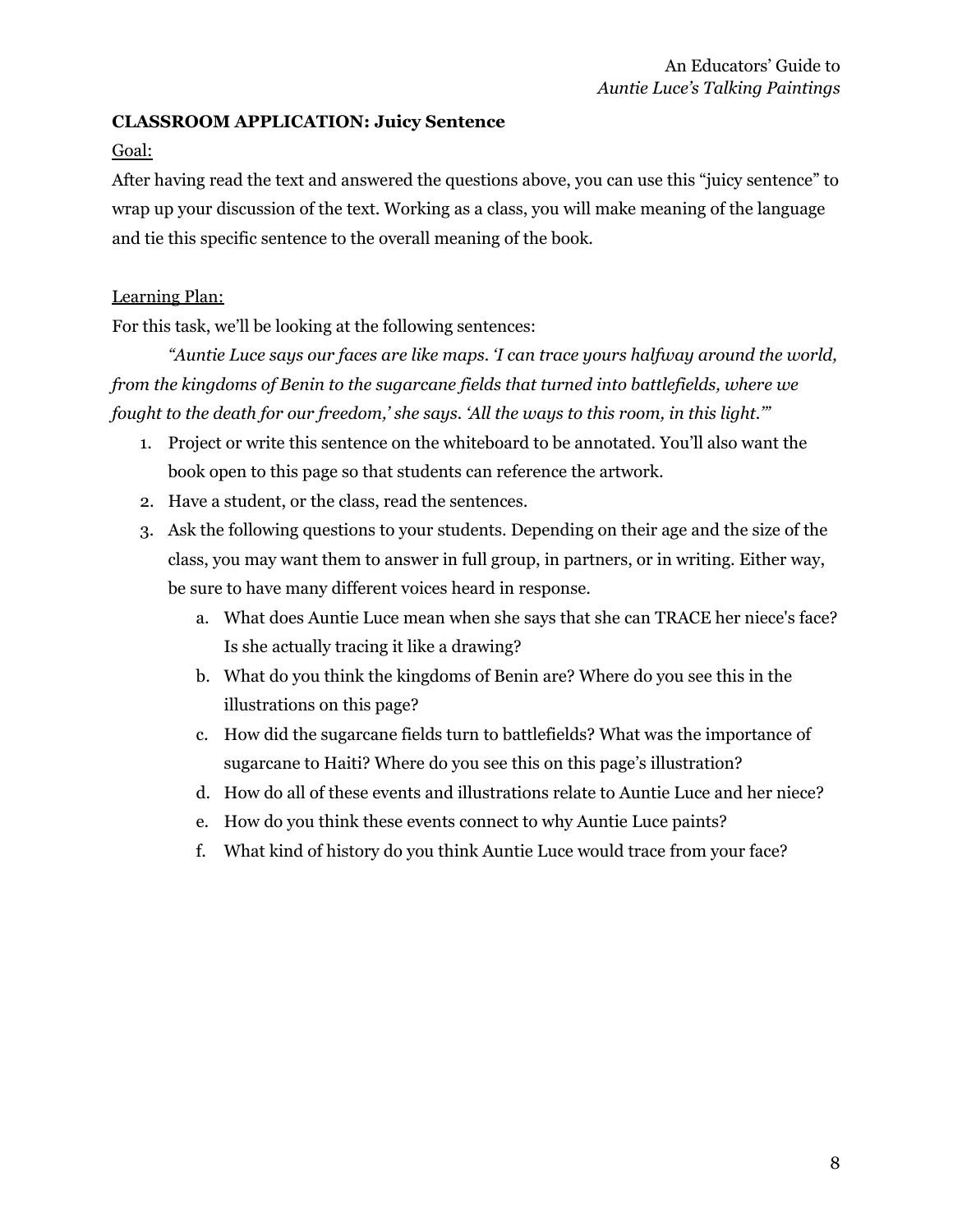#### **CLASSROOM APPLICATION: Juicy Sentence**

#### Goal:

After having read the text and answered the questions above, you can use this "juicy sentence" to wrap up your discussion of the text. Working as a class, you will make meaning of the language and tie this specific sentence to the overall meaning of the book.

#### Learning Plan:

For this task, we'll be looking at the following sentences:

*"Auntie Luce says our faces are like maps. 'I can trace yours halfway around the world, from the kingdoms of Benin to the sugarcane fields that turned into battlefields, where we fought to the death for our freedom,' she says. 'All the ways to this room, in this light.'"*

- 1. Project or write this sentence on the whiteboard to be annotated. You'll also want the book open to this page so that students can reference the artwork.
- 2. Have a student, or the class, read the sentences.
- 3. Ask the following questions to your students. Depending on their age and the size of the class, you may want them to answer in full group, in partners, or in writing. Either way, be sure to have many different voices heard in response.
	- a. What does Auntie Luce mean when she says that she can TRACE her niece's face? Is she actually tracing it like a drawing?
	- b. What do you think the kingdoms of Benin are? Where do you see this in the illustrations on this page?
	- c. How did the sugarcane fields turn to battlefields? What was the importance of sugarcane to Haiti? Where do you see this on this page's illustration?
	- d. How do all of these events and illustrations relate to Auntie Luce and her niece?
	- e. How do you think these events connect to why Auntie Luce paints?
	- f. What kind of history do you think Auntie Luce would trace from your face?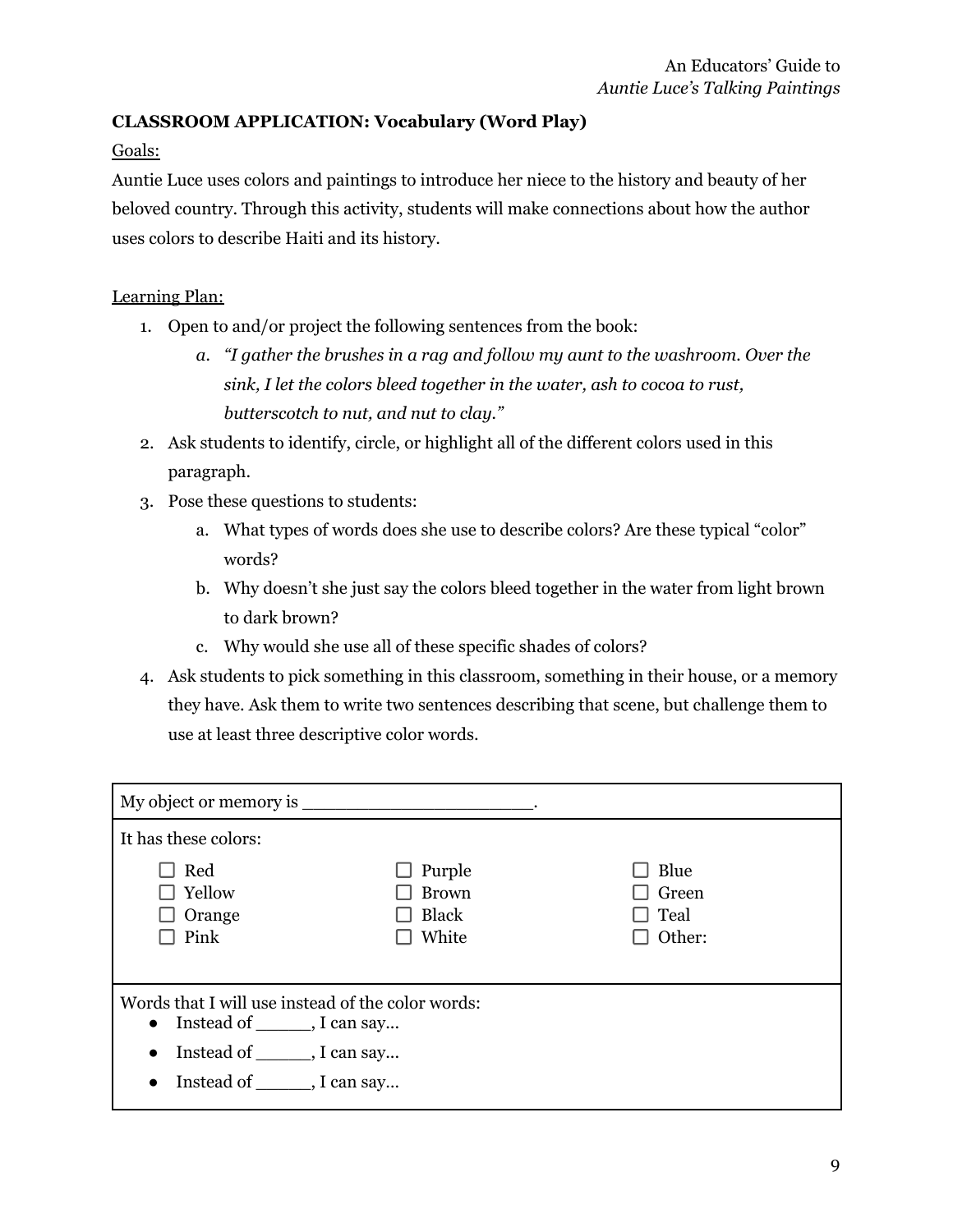# **CLASSROOM APPLICATION: Vocabulary (Word Play)**

Goals:

Auntie Luce uses colors and paintings to introduce her niece to the history and beauty of her beloved country. Through this activity, students will make connections about how the author uses colors to describe Haiti and its history.

#### Learning Plan:

- 1. Open to and/or project the following sentences from the book:
	- *a. "I gather the brushes in a rag and follow my aunt to the washroom. Over the sink, I let the colors bleed together in the water, ash to cocoa to rust, butterscotch to nut, and nut to clay."*
- 2. Ask students to identify, circle, or highlight all of the different colors used in this paragraph.
- 3. Pose these questions to students:
	- a. What types of words does she use to describe colors? Are these typical "color" words?
	- b. Why doesn't she just say the colors bleed together in the water from light brown to dark brown?
	- c. Why would she use all of these specific shades of colors?
- 4. Ask students to pick something in this classroom, something in their house, or a memory they have. Ask them to write two sentences describing that scene, but challenge them to use at least three descriptive color words.

| It has these colors:                                                                             |                                                 |                                 |  |
|--------------------------------------------------------------------------------------------------|-------------------------------------------------|---------------------------------|--|
| Red<br>$\Box$ Yellow<br>Orange<br>Pink                                                           | Purple<br><b>Brown</b><br><b>Black</b><br>White | Blue<br>Green<br>Teal<br>Other: |  |
| Words that I will use instead of the color words:<br>Instead of ________, I can say<br>$\bullet$ |                                                 |                                 |  |
| Instead of ________, I can say<br>$\bullet$                                                      |                                                 |                                 |  |
| Instead of ________, I can say<br>$\bullet$                                                      |                                                 |                                 |  |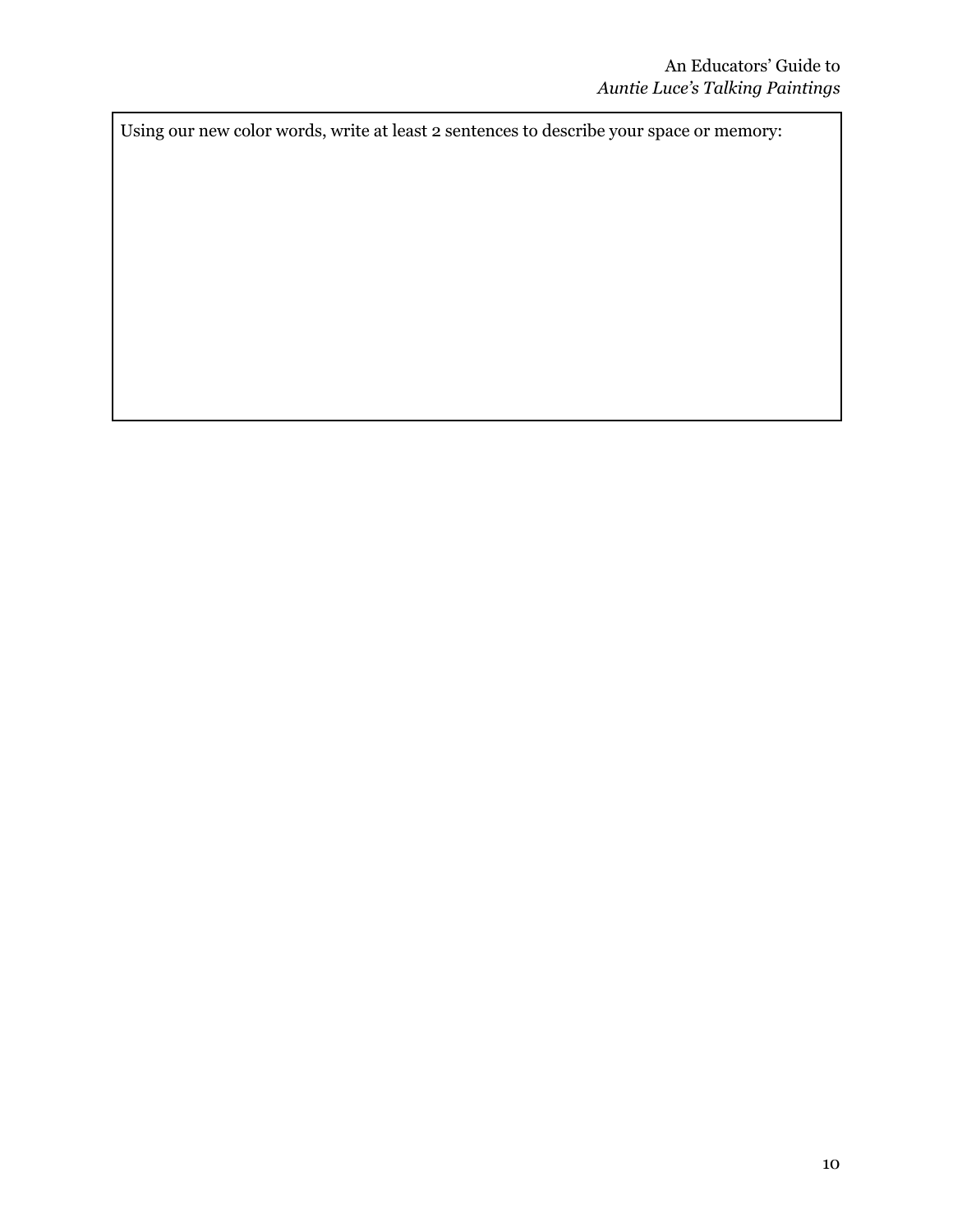Using our new color words, write at least 2 sentences to describe your space or memory: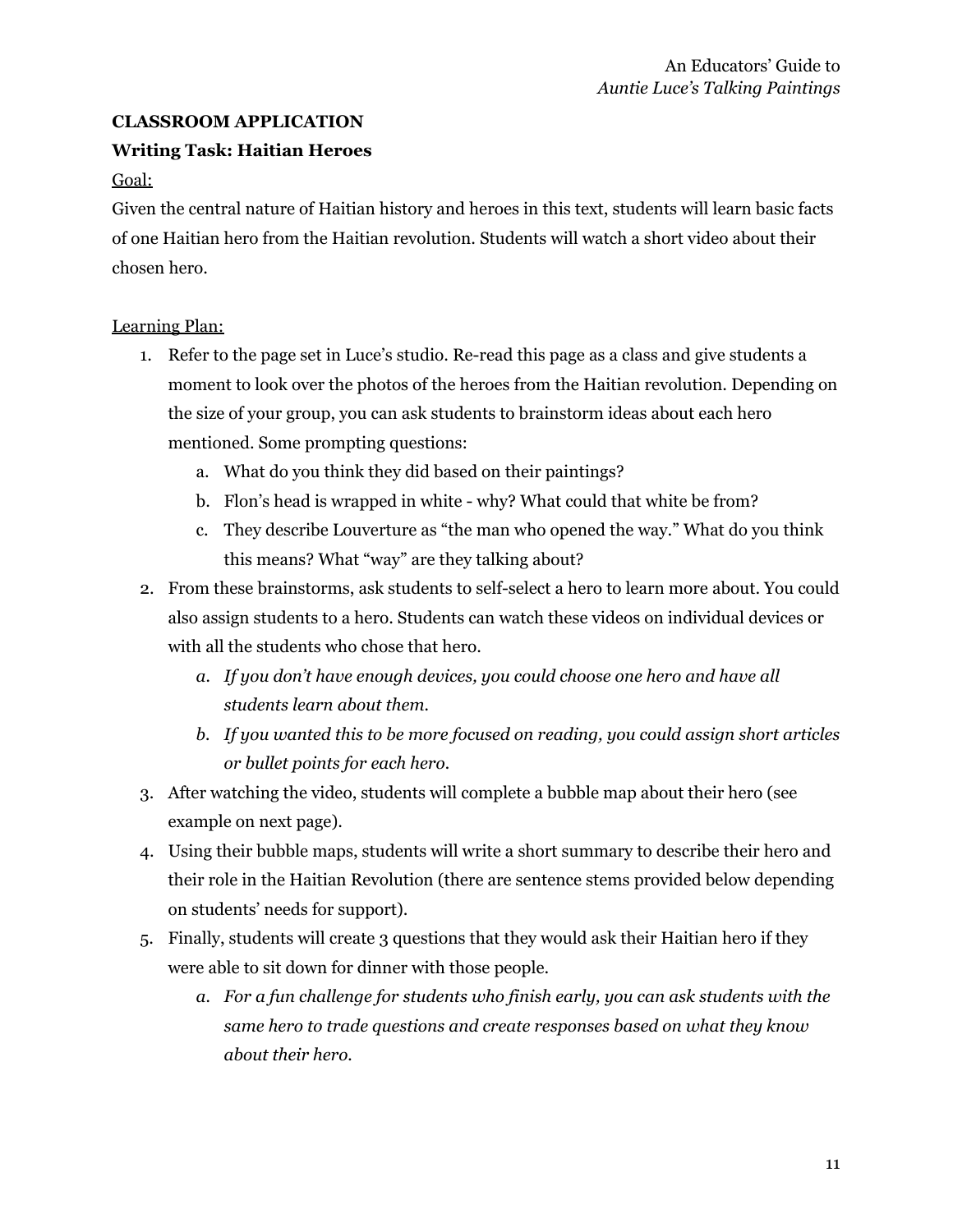# **CLASSROOM APPLICATION**

## **Writing Task: Haitian Heroes**

### Goal:

Given the central nature of Haitian history and heroes in this text, students will learn basic facts of one Haitian hero from the Haitian revolution. Students will watch a short video about their chosen hero.

### Learning Plan:

- 1. Refer to the page set in Luce's studio. Re-read this page as a class and give students a moment to look over the photos of the heroes from the Haitian revolution. Depending on the size of your group, you can ask students to brainstorm ideas about each hero mentioned. Some prompting questions:
	- a. What do you think they did based on their paintings?
	- b. Flon's head is wrapped in white why? What could that white be from?
	- c. They describe Louverture as "the man who opened the way." What do you think this means? What "way" are they talking about?
- 2. From these brainstorms, ask students to self-select a hero to learn more about. You could also assign students to a hero. Students can watch these videos on individual devices or with all the students who chose that hero.
	- *a. If you don't have enough devices, you could choose one hero and have all students learn about them.*
	- *b. If you wanted this to be more focused on reading, you could assign short articles or bullet points for each hero.*
- 3. After watching the video, students will complete a bubble map about their hero (see example on next page).
- 4. Using their bubble maps, students will write a short summary to describe their hero and their role in the Haitian Revolution (there are sentence stems provided below depending on students' needs for support).
- 5. Finally, students will create 3 questions that they would ask their Haitian hero if they were able to sit down for dinner with those people.
	- *a. For a fun challenge for students who finish early, you can ask students with the same hero to trade questions and create responses based on what they know about their hero.*